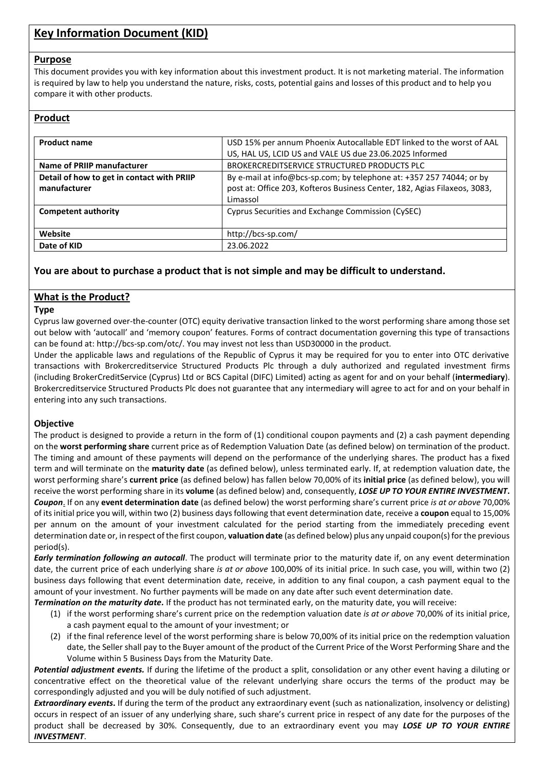# **Key Information Document (KID)**

#### **Purpose**

This document provides you with key information about this investment product. It is not marketing material. The information is required by law to help you understand the nature, risks, costs, potential gains and losses of this product and to help you compare it with other products.

### **Product**

| <b>Product name</b>                        | USD 15% per annum Phoenix Autocallable EDT linked to the worst of AAL     |
|--------------------------------------------|---------------------------------------------------------------------------|
|                                            | US, HAL US, LCID US and VALE US due 23.06.2025 Informed                   |
| Name of PRIIP manufacturer                 | BROKERCREDITSERVICE STRUCTURED PRODUCTS PLC                               |
| Detail of how to get in contact with PRIIP | By e-mail at info@bcs-sp.com; by telephone at: +357 257 74044; or by      |
| manufacturer                               | post at: Office 203, Kofteros Business Center, 182, Agias Filaxeos, 3083, |
|                                            | Limassol                                                                  |
| <b>Competent authority</b>                 | Cyprus Securities and Exchange Commission (CySEC)                         |
|                                            |                                                                           |
| Website                                    | http://bcs-sp.com/                                                        |
| Date of KID                                | 23.06.2022                                                                |

### **You are about to purchase a product that is not simple and may be difficult to understand.**

### **What is the Product?**

#### **Type**

Cyprus law governed over-the-counter (OTC) equity derivative transaction linked to the worst performing share among those set out below with 'autocall' and 'memory coupon' features. Forms of contract documentation governing this type of transactions can be found at: http://bcs-sp.com/otc/. You may invest not less than USD30000 in the product.

Under the applicable laws and regulations of the Republic of Cyprus it may be required for you to enter into OTC derivative transactions with Brokercreditservice Structured Products Plc through a duly authorized and regulated investment firms (including BrokerCreditService (Cyprus) Ltd or BCS Capital (DIFC) Limited) acting as agent for and on your behalf (**intermediary**). Brokercreditservice Structured Products Plc does not guarantee that any intermediary will agree to act for and on your behalf in entering into any such transactions.

#### **Objective**

The product is designed to provide a return in the form of (1) conditional coupon payments and (2) a cash payment depending on the **worst performing share** current price as of Redemption Valuation Date (as defined below) on termination of the product. The timing and amount of these payments will depend on the performance of the underlying shares. The product has a fixed term and will terminate on the **maturity date** (as defined below), unless terminated early. If, at redemption valuation date, the worst performing share's **current price** (as defined below) has fallen below 70,00% of its **initial price** (as defined below), you will receive the worst performing share in its **volume** (as defined below) and, consequently, *LOSE UP TO YOUR ENTIRE INVESTMENT***.** *Coupon*. If on any **event determination date** (as defined below) the worst performing share's current price *is at or above* 70,00% of its initial price you will, within two (2) business days following that event determination date, receive a **coupon** equal to 15,00% per annum on the amount of your investment calculated for the period starting from the immediately preceding event determination date or, in respect of the first coupon, **valuation date** (as defined below) plus any unpaid coupon(s) for the previous period(s).

*Early termination following an autocall*. The product will terminate prior to the maturity date if, on any event determination date, the current price of each underlying share *is at or above* 100,00% of its initial price. In such case, you will, within two (2) business days following that event determination date, receive, in addition to any final coupon, a cash payment equal to the amount of your investment. No further payments will be made on any date after such event determination date.

*Termination on the maturity date.* If the product has not terminated early, on the maturity date, you will receive:

- (1) if the worst performing share's current price on the redemption valuation date *is at or above* 70,00% of its initial price, a cash payment equal to the amount of your investment; or
- (2) if the final reference level of the worst performing share is below 70,00% of its initial price on the redemption valuation date, the Seller shall pay to the Buyer amount of the product of the Current Price of the Worst Performing Share and the Volume within 5 Business Days from the Maturity Date.

*Potential adjustment events.* If during the lifetime of the product a split, consolidation or any other event having a diluting or concentrative effect on the theoretical value of the relevant underlying share occurs the terms of the product may be correspondingly adjusted and you will be duly notified of such adjustment.

*Extraordinary events***.** If during the term of the product any extraordinary event (such as nationalization, insolvency or delisting) occurs in respect of an issuer of any underlying share, such share's current price in respect of any date for the purposes of the product shall be decreased by 30%. Consequently, due to an extraordinary event you may *LOSE UP TO YOUR ENTIRE INVESTMENT*.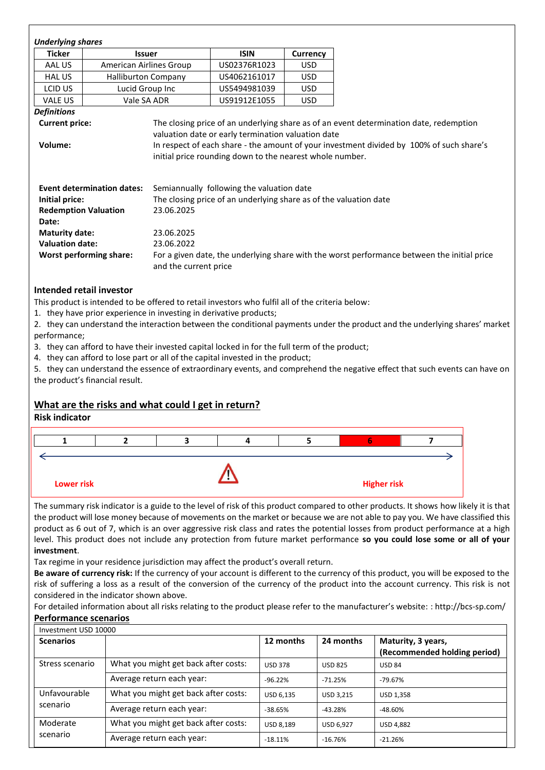| <b>Underlying shares</b>                               |                                   |                                                                                                                |                                                                                                                |                                                                                          |  |
|--------------------------------------------------------|-----------------------------------|----------------------------------------------------------------------------------------------------------------|----------------------------------------------------------------------------------------------------------------|------------------------------------------------------------------------------------------|--|
| <b>Ticker</b>                                          | <b>Issuer</b>                     |                                                                                                                | <b>ISIN</b>                                                                                                    | Currency                                                                                 |  |
| AAL US                                                 | American Airlines Group           |                                                                                                                | US02376R1023                                                                                                   | <b>USD</b>                                                                               |  |
| <b>HAL US</b>                                          | <b>Halliburton Company</b>        |                                                                                                                | US4062161017                                                                                                   | <b>USD</b>                                                                               |  |
| LCID US                                                | Lucid Group Inc                   |                                                                                                                | US5494981039                                                                                                   | <b>USD</b>                                                                               |  |
| <b>VALE US</b>                                         | Vale SA ADR                       |                                                                                                                | US91912E1055                                                                                                   | USD.                                                                                     |  |
| <b>Definitions</b>                                     |                                   |                                                                                                                |                                                                                                                |                                                                                          |  |
| Volume:                                                |                                   | valuation date or early termination valuation date<br>initial price rounding down to the nearest whole number. |                                                                                                                | In respect of each share - the amount of your investment divided by 100% of such share's |  |
| Initial price:<br><b>Redemption Valuation</b><br>Date: | <b>Event determination dates:</b> | 23.06.2025                                                                                                     | Semiannually following the valuation date<br>The closing price of an underlying share as of the valuation date |                                                                                          |  |

### **Intended retail investor**

This product is intended to be offered to retail investors who fulfil all of the criteria below:

1. they have prior experience in investing in derivative products;

2. they can understand the interaction between the conditional payments under the product and the underlying shares' market performance;

3. they can afford to have their invested capital locked in for the full term of the product;

4. they can afford to lose part or all of the capital invested in the product;

5. they can understand the essence of extraordinary events, and comprehend the negative effect that such events can have on the product's financial result.

### **What are the risks and what could I get in return?**

### **Risk indicator**



The summary risk indicator is a guide to the level of risk of this product compared to other products. It shows how likely it is that the product will lose money because of movements on the market or because we are not able to pay you. We have classified this product as 6 out of 7, which is an over aggressive risk class and rates the potential losses from product performance at a high level. This product does not include any protection from future market performance **so you could lose some or all of your investment**.

Tax regime in your residence jurisdiction may affect the product's overall return.

**Be aware of currency risk:** If the currency of your account is different to the currency of this product, you will be exposed to the risk of suffering a loss as a result of the conversion of the currency of the product into the account currency. This risk is not considered in the indicator shown above.

For detailed information about all risks relating to the product please refer to the manufacturer's website: : http://bcs-sp.com/ **Performance scenarios**

| Investment USD 10000 |                                      |                  |                  |                                                    |
|----------------------|--------------------------------------|------------------|------------------|----------------------------------------------------|
| <b>Scenarios</b>     |                                      | 12 months        | 24 months        | Maturity, 3 years,<br>(Recommended holding period) |
| Stress scenario      | What you might get back after costs: | <b>USD 378</b>   | <b>USD 825</b>   | <b>USD 84</b>                                      |
|                      | Average return each year:            | $-96.22%$        | $-71.25%$        | $-79.67%$                                          |
| Unfavourable         | What you might get back after costs: | <b>USD 6.135</b> | <b>USD 3.215</b> | USD 1.358                                          |
| scenario             | Average return each year:            | $-38.65%$        | $-43.28%$        | $-48.60%$                                          |
| Moderate             | What you might get back after costs: | <b>USD 8.189</b> | <b>USD 6.927</b> | <b>USD 4.882</b>                                   |
| scenario             | Average return each year:            | $-18.11%$        | $-16.76%$        | $-21.26%$                                          |